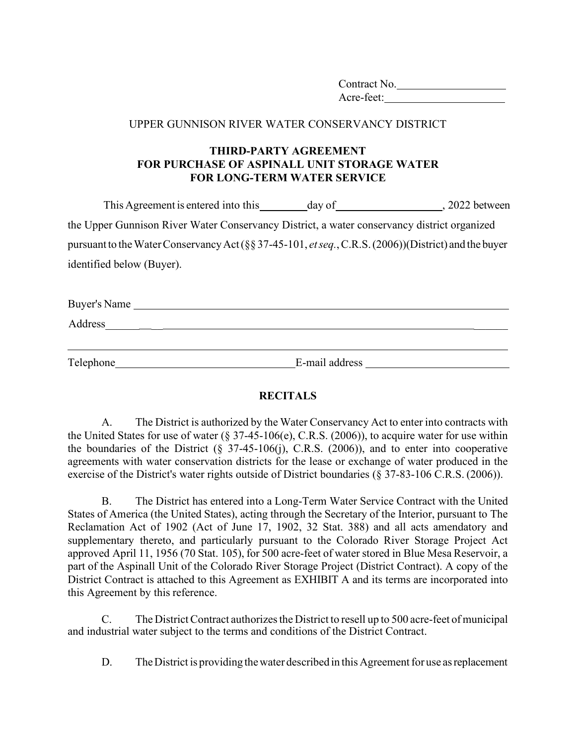Contract No. Acre-feet:

## UPPER GUNNISON RIVER WATER CONSERVANCY DISTRICT

## **THIRD-PARTY AGREEMENT FOR PURCHASE OF ASPINALL UNIT STORAGE WATER FOR LONG-TERM WATER SERVICE**

|                                                                                             | This Agreement is entered into this                                                                          | day of | 2022 between |  |
|---------------------------------------------------------------------------------------------|--------------------------------------------------------------------------------------------------------------|--------|--------------|--|
| the Upper Gunnison River Water Conservancy District, a water conservancy district organized |                                                                                                              |        |              |  |
|                                                                                             | pursuant to the Water Conservancy Act (§§ 37-45-101, <i>et seq.</i> , C.R.S. (2006))(District) and the buyer |        |              |  |
|                                                                                             | identified below (Buyer).                                                                                    |        |              |  |
|                                                                                             |                                                                                                              |        |              |  |

| Buyer's Name |  |  |  |
|--------------|--|--|--|
| Address      |  |  |  |
|              |  |  |  |

Telephone E-mail address

## **RECITALS**

A. The District is authorized by the Water Conservancy Act to enter into contracts with the United States for use of water (§ 37-45-106(e), C.R.S. (2006)), to acquire water for use within the boundaries of the District  $(\S$  37-45-106(j), C.R.S. (2006)), and to enter into cooperative agreements with water conservation districts for the lease or exchange of water produced in the exercise of the District's water rights outside of District boundaries (§ 37-83-106 C.R.S. (2006)).

B. The District has entered into a Long-Term Water Service Contract with the United States of America (the United States), acting through the Secretary of the Interior, pursuant to The Reclamation Act of 1902 (Act of June 17, 1902, 32 Stat. 388) and all acts amendatory and supplementary thereto, and particularly pursuant to the Colorado River Storage Project Act approved April 11, 1956 (70 Stat. 105), for 500 acre-feet of water stored in Blue Mesa Reservoir, a part of the Aspinall Unit of the Colorado River Storage Project (District Contract). A copy of the District Contract is attached to this Agreement as EXHIBIT A and its terms are incorporated into this Agreement by this reference.

C. The DistrictContract authorizes the District to resell up to 500 acre-feet of municipal and industrial water subject to the terms and conditions of the District Contract.

D. The District is providing the water described in this Agreement for use as replacement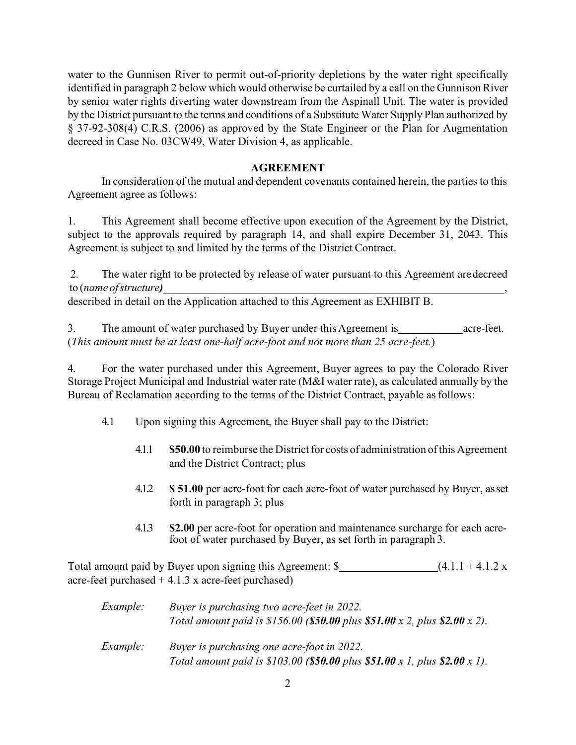water to the Gunnison River to permit out-of-priority depletions by the water right specifically identified in paragraph 2 below which would otherwise be curtailed by a call on the Gunnison River by senior water rights diverting water downstream from the Aspinall Unit. The water is provided by the District pursuant to the terms and conditions of a Substitute Water Supply Plan authorized by § 37-92-308(4) C.R.S. (2006) as approved by the State Engineer or the Plan for Augmentation decreed in Case No. 03CW49, Water Division 4, as applicable.

## **AGREEMENT**

In consideration of the mutual and dependent covenants contained herein, the parties to this Agreement agree as follows:

1. This Agreement shall become effective upon execution of the Agreement by the District, subject to the approvals required by paragraph 14, and shall expire December 31, 2043. This Agreement is subject to and limited by the terms of the District Contract.

2. The water right to be protected by release of water pursuant to this Agreement are decreed to (*name of structure)* ,

described in detail on the Application attached to this Agreement as EXHIBIT B.

3. The amount of water purchased by Buyer under this Agreement is \_\_\_\_\_\_\_\_\_\_\_\_\_\_\_ acre-feet. (*This amount must be at least one-half acre-foot and not more than 25 acre-feet.*)

4. For the water purchased under this Agreement, Buyer agrees to pay the Colorado River Storage Project Municipal and Industrial water rate (M&I water rate), as calculated annually by the Bureau of Reclamation according to the terms of the District Contract, payable as follows:

- 4.1 Upon signing this Agreement, the Buyer shall pay to the District:
	- 4.1.1 **\$50.00** to reimburse the Districtfor costs of administration of this Agreement and the District Contract; plus
	- 4.1.2 **\$ 51.00** per acre-foot for each acre-foot of water purchased by Buyer, as set forth in paragraph 3; plus
	- 4.1.3 **\$2.00** per acre-foot for operation and maintenance surcharge for each acrefoot of water purchased by Buyer, as set forth in paragraph 3.

Total amount paid by Buyer upon signing this Agreement:  $\{\$$  (4.1.1 + 4.1.2 x acre-feet purchased  $+4.1.3 \text{ x}$  acre-feet purchased)

| <i>Example:</i> | Buyer is purchasing two acre-feet in 2022.<br>Total amount paid is \$156.00 (\$50.00 plus \$51.00 x 2, plus \$2.00 x 2). |
|-----------------|--------------------------------------------------------------------------------------------------------------------------|
| <i>Example:</i> | Buyer is purchasing one acre-foot in 2022.<br>Total amount paid is \$103.00 (\$50.00 plus \$51.00 x 1, plus \$2.00 x 1). |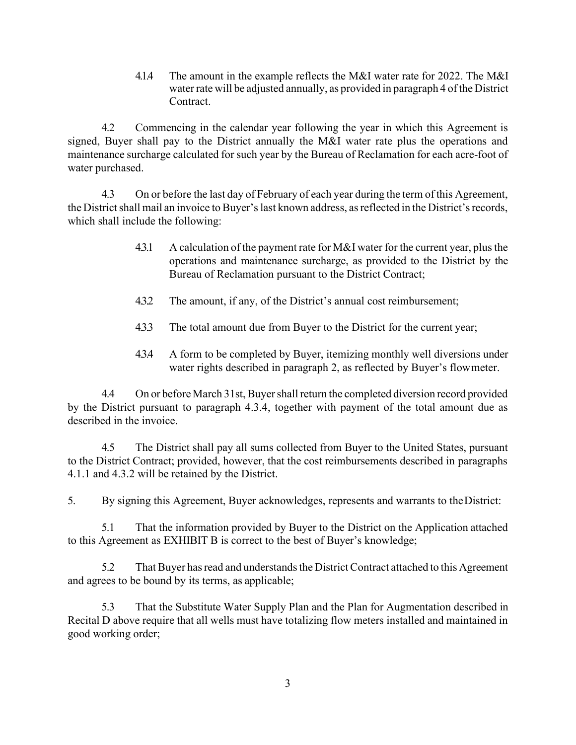4.1.4 The amount in the example reflects the M&I water rate for 2022. The M&I water rate will be adjusted annually, as provided in paragraph 4 of the District Contract.

4.2 Commencing in the calendar year following the year in which this Agreement is signed, Buyer shall pay to the District annually the M&I water rate plus the operations and maintenance surcharge calculated for such year by the Bureau of Reclamation for each acre-foot of water purchased.

4.3 On or before the last day of February of each year during the term of this Agreement, the District shall mail an invoice to Buyer's last known address, as reflected in the District's records, which shall include the following:

- 4.3.1 A calculation of the payment rate for M&I water for the current year, plus the operations and maintenance surcharge, as provided to the District by the Bureau of Reclamation pursuant to the District Contract;
- 4.3.2 The amount, if any, of the District's annual cost reimbursement;
- 4.3.3 The total amount due from Buyer to the District for the current year;
- 4.3.4 A form to be completed by Buyer, itemizing monthly well diversions under water rights described in paragraph 2, as reflected by Buyer's flowmeter.

4.4 On or before March 31st, Buyershallreturn the completed diversion record provided by the District pursuant to paragraph 4.3.4, together with payment of the total amount due as described in the invoice.

4.5 The District shall pay all sums collected from Buyer to the United States, pursuant to the District Contract; provided, however, that the cost reimbursements described in paragraphs 4.1.1 and 4.3.2 will be retained by the District.

5. By signing this Agreement, Buyer acknowledges, represents and warrants to theDistrict:

5.1 That the information provided by Buyer to the District on the Application attached to this Agreement as EXHIBIT B is correct to the best of Buyer's knowledge;

5.2 That Buyer has read and understands the District Contract attached to this Agreement and agrees to be bound by its terms, as applicable;

5.3 That the Substitute Water Supply Plan and the Plan for Augmentation described in Recital D above require that all wells must have totalizing flow meters installed and maintained in good working order;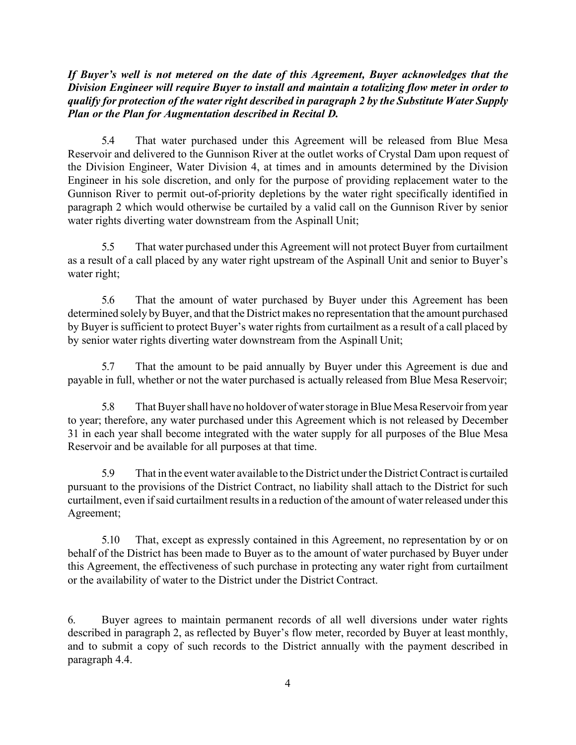*If Buyer's well is not metered on the date of this Agreement, Buyer acknowledges that the Division Engineer will require Buyer to install and maintain a totalizing flow meter in order to qualify for protection of the water right described in paragraph 2 by the Substitute Water Supply Plan or the Plan for Augmentation described in Recital D.*

5.4 That water purchased under this Agreement will be released from Blue Mesa Reservoir and delivered to the Gunnison River at the outlet works of Crystal Dam upon request of the Division Engineer, Water Division 4, at times and in amounts determined by the Division Engineer in his sole discretion, and only for the purpose of providing replacement water to the Gunnison River to permit out-of-priority depletions by the water right specifically identified in paragraph 2 which would otherwise be curtailed by a valid call on the Gunnison River by senior water rights diverting water downstream from the Aspinall Unit;

5.5 That water purchased under this Agreement will not protect Buyer from curtailment as a result of a call placed by any water right upstream of the Aspinall Unit and senior to Buyer's water right;

5.6 That the amount of water purchased by Buyer under this Agreement has been determined solely by Buyer, and that the District makes no representation that the amount purchased by Buyer is sufficient to protect Buyer's water rights from curtailment as a result of a call placed by by senior water rights diverting water downstream from the Aspinall Unit;

5.7 That the amount to be paid annually by Buyer under this Agreement is due and payable in full, whether or not the water purchased is actually released from Blue Mesa Reservoir;

5.8 That Buyer shall have no holdover of water storage in Blue Mesa Reservoir from year to year; therefore, any water purchased under this Agreement which is not released by December 31 in each year shall become integrated with the water supply for all purposes of the Blue Mesa Reservoir and be available for all purposes at that time.

5.9 That in the event water available to the District underthe DistrictContract is curtailed pursuant to the provisions of the District Contract, no liability shall attach to the District for such curtailment, even if said curtailment results in a reduction of the amount of water released under this Agreement;

5.10 That, except as expressly contained in this Agreement, no representation by or on behalf of the District has been made to Buyer as to the amount of water purchased by Buyer under this Agreement, the effectiveness of such purchase in protecting any water right from curtailment or the availability of water to the District under the District Contract.

6. Buyer agrees to maintain permanent records of all well diversions under water rights described in paragraph 2, as reflected by Buyer's flow meter, recorded by Buyer at least monthly, and to submit a copy of such records to the District annually with the payment described in paragraph 4.4.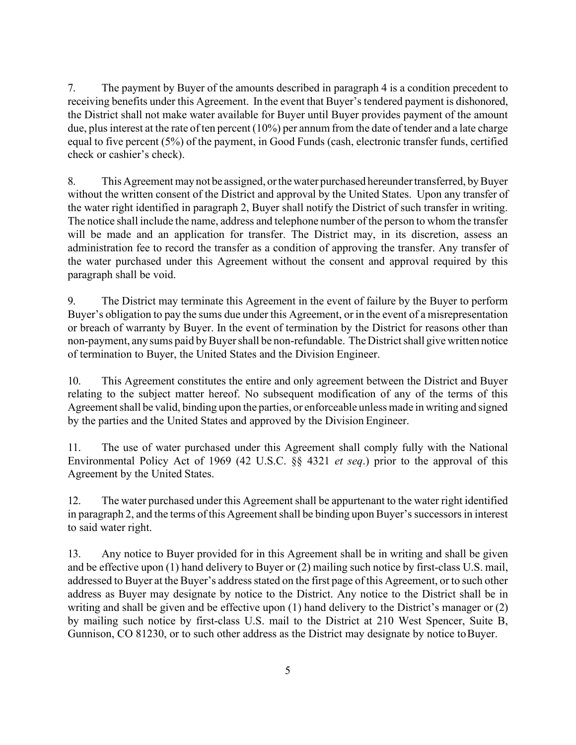7. The payment by Buyer of the amounts described in paragraph 4 is a condition precedent to receiving benefits under this Agreement. In the event that Buyer's tendered payment is dishonored, the District shall not make water available for Buyer until Buyer provides payment of the amount due, plus interest at the rate of ten percent  $(10\%)$  per annum from the date of tender and a late charge equal to five percent (5%) of the payment, in Good Funds (cash, electronic transfer funds, certified check or cashier's check).

8. This Agreement may not be assigned, or the water purchased hereunder transferred, by Buyer without the written consent of the District and approval by the United States. Upon any transfer of the water right identified in paragraph 2, Buyer shall notify the District of such transfer in writing. The notice shall include the name, address and telephone number of the person to whom the transfer will be made and an application for transfer. The District may, in its discretion, assess an administration fee to record the transfer as a condition of approving the transfer. Any transfer of the water purchased under this Agreement without the consent and approval required by this paragraph shall be void.

9. The District may terminate this Agreement in the event of failure by the Buyer to perform Buyer's obligation to pay the sums due under this Agreement, or in the event of a misrepresentation or breach of warranty by Buyer. In the event of termination by the District for reasons other than non-payment, any sums paid by Buyer shall be non-refundable. The District shall give written notice of termination to Buyer, the United States and the Division Engineer.

10. This Agreement constitutes the entire and only agreement between the District and Buyer relating to the subject matter hereof. No subsequent modification of any of the terms of this Agreement shall be valid, binding upon the parties, or enforceable unless made in writing and signed by the parties and the United States and approved by the Division Engineer.

11. The use of water purchased under this Agreement shall comply fully with the National Environmental Policy Act of 1969 (42 U.S.C. §§ 4321 *et seq*.) prior to the approval of this Agreement by the United States.

12. The water purchased under this Agreement shall be appurtenant to the water right identified in paragraph 2, and the terms of this Agreement shall be binding upon Buyer's successors in interest to said water right.

13. Any notice to Buyer provided for in this Agreement shall be in writing and shall be given and be effective upon (1) hand delivery to Buyer or (2) mailing such notice by first-class U.S. mail, addressed to Buyer at the Buyer's address stated on the first page of this Agreement, or to such other address as Buyer may designate by notice to the District. Any notice to the District shall be in writing and shall be given and be effective upon (1) hand delivery to the District's manager or (2) by mailing such notice by first-class U.S. mail to the District at 210 West Spencer, Suite B, Gunnison, CO 81230, or to such other address as the District may designate by notice to Buyer.